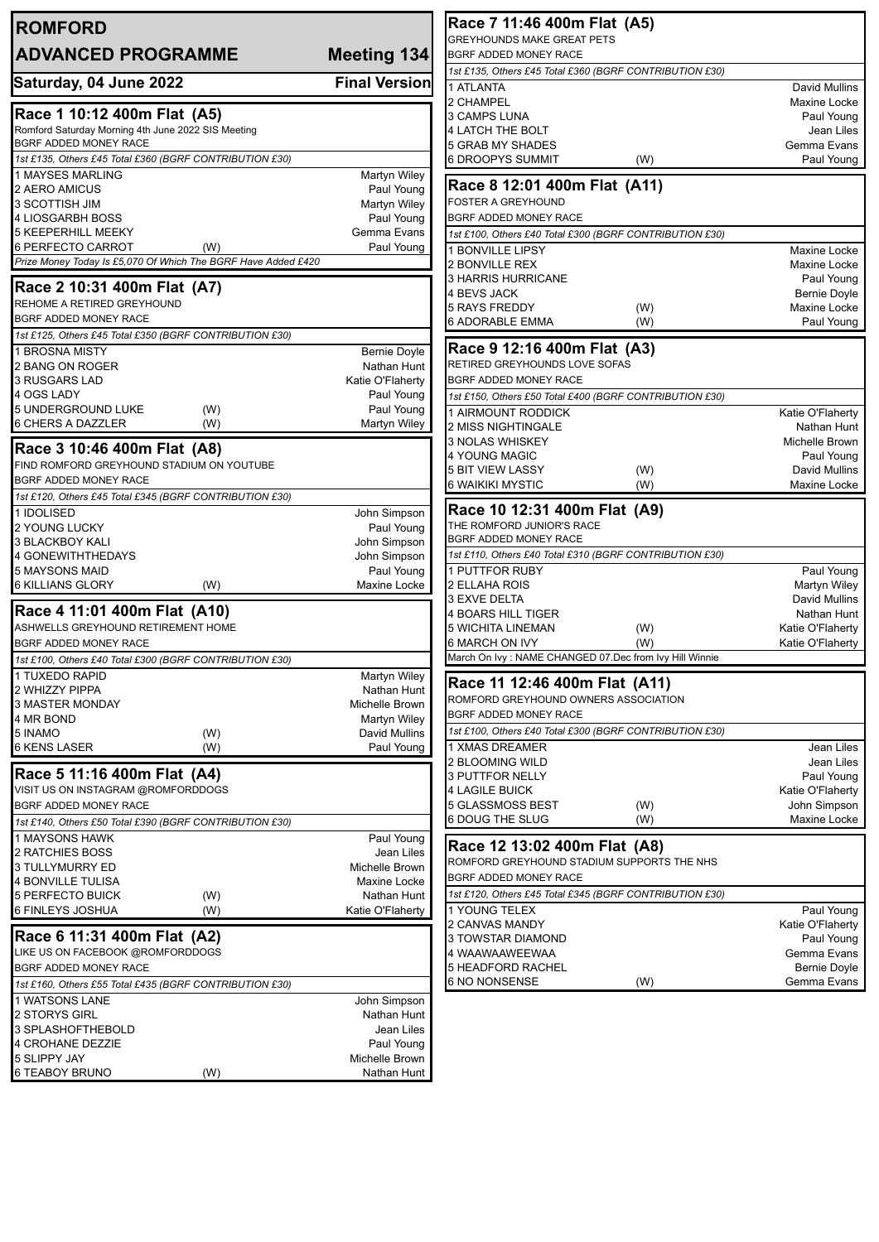| <b>ROMFORD</b>                                                                    |                               | Race 7 11:46 400m Flat (A5)                                       |                                 |
|-----------------------------------------------------------------------------------|-------------------------------|-------------------------------------------------------------------|---------------------------------|
| <b>ADVANCED PROGRAMME</b>                                                         | Meeting 134                   | <b>GREYHOUNDS MAKE GREAT PETS</b><br><b>BGRF ADDED MONEY RACE</b> |                                 |
|                                                                                   |                               | 1st £135, Others £45 Total £360 (BGRF CONTRIBUTION £30)           |                                 |
| Saturday, 04 June 2022                                                            | <b>Final Version</b>          | 1 ATLANTA                                                         | David Mullins                   |
|                                                                                   |                               | 2 CHAMPEL                                                         | Maxine Locke                    |
| Race 1 10:12 400m Flat (A5)<br>Romford Saturday Morning 4th June 2022 SIS Meeting |                               | 3 CAMPS LUNA<br>4 LATCH THE BOLT                                  | Paul Young<br>Jean Liles        |
| BGRF ADDED MONEY RACE                                                             |                               | 5 GRAB MY SHADES                                                  | Gemma Evans                     |
| 1st £135, Others £45 Total £360 (BGRF CONTRIBUTION £30)                           |                               | <b>6 DROOPYS SUMMIT</b><br>(W)                                    | Paul Young                      |
| 1 MAYSES MARLING                                                                  | <b>Martyn Wiley</b>           |                                                                   |                                 |
| 2 AERO AMICUS                                                                     | Paul Young                    | Race 8 12:01 400m Flat (A11)<br><b>FOSTER A GREYHOUND</b>         |                                 |
| 3 SCOTTISH JIM<br>4 LIOSGARBH BOSS                                                | Martyn Wiley<br>Paul Young    | BGRF ADDED MONEY RACE                                             |                                 |
| <b>5 KEEPERHILL MEEKY</b>                                                         | Gemma Evans                   | 1st £100, Others £40 Total £300 (BGRF CONTRIBUTION £30)           |                                 |
| 6 PERFECTO CARROT<br>(W)                                                          | Paul Young                    | 1 BONVILLE LIPSY                                                  | Maxine Locke                    |
| Prize Money Today Is £5,070 Of Which The BGRF Have Added £420                     |                               | 2 BONVILLE REX                                                    | Maxine Locke                    |
| Race 2 10:31 400m Flat (A7)                                                       |                               | 3 HARRIS HURRICANE                                                | Paul Young                      |
| REHOME A RETIRED GREYHOUND                                                        |                               | 4 BEVS JACK                                                       | <b>Bernie Doyle</b>             |
| BGRF ADDED MONEY RACE                                                             |                               | <b>5 RAYS FREDDY</b><br>(W)<br>6 ADORABLE EMMA<br>(W)             | Maxine Locke<br>Paul Young      |
| 1st £125, Others £45 Total £350 (BGRF CONTRIBUTION £30)                           |                               |                                                                   |                                 |
| 1 BROSNA MISTY                                                                    | <b>Bernie Doyle</b>           | Race 9 12:16 400m Flat (A3)                                       |                                 |
| 2 BANG ON ROGER                                                                   | Nathan Hunt                   | RETIRED GREYHOUNDS LOVE SOFAS                                     |                                 |
| 3 RUSGARS LAD                                                                     | Katie O'Flaherty              | BGRF ADDED MONEY RACE                                             |                                 |
| 4 OGS LADY<br>5 UNDERGROUND LUKE<br>(W)                                           | Paul Young<br>Paul Young      | 1st £150, Others £50 Total £400 (BGRF CONTRIBUTION £30)           |                                 |
| 6 CHERS A DAZZLER<br>(W)                                                          | Martyn Wiley                  | 1 AIRMOUNT RODDICK<br>2 MISS NIGHTINGALE                          | Katie O'Flaherty<br>Nathan Hunt |
|                                                                                   |                               | 3 NOLAS WHISKEY                                                   | Michelle Brown                  |
| Race 3 10:46 400m Flat (A8)                                                       |                               | 4 YOUNG MAGIC                                                     | Paul Young                      |
| FIND ROMFORD GREYHOUND STADIUM ON YOUTUBE<br>BGRF ADDED MONEY RACE                |                               | <b>5 BIT VIEW LASSY</b><br>(W)                                    | David Mullins                   |
| 1st £120, Others £45 Total £345 (BGRF CONTRIBUTION £30)                           |                               | 6 WAIKIKI MYSTIC<br>(W)                                           | Maxine Locke                    |
| 1 IDOLISED                                                                        | John Simpson                  | Race 10 12:31 400m Flat (A9)                                      |                                 |
| <b>2 YOUNG LUCKY</b>                                                              | Paul Young                    | THE ROMFORD JUNIOR'S RACE                                         |                                 |
| 3 BLACKBOY KALI                                                                   | John Simpson                  | BGRF ADDED MONEY RACE                                             |                                 |
| 4 GONEWITHTHEDAYS                                                                 | John Simpson                  | 1st £110, Others £40 Total £310 (BGRF CONTRIBUTION £30)           |                                 |
| 5 MAYSONS MAID<br><b>6 KILLIANS GLORY</b><br>(W)                                  | Paul Young<br>Maxine Locke    | 1 PUTTFOR RUBY<br>2 ELLAHA ROIS                                   | Paul Young<br>Martyn Wiley      |
|                                                                                   |                               | 3 EXVE DELTA                                                      | David Mullins                   |
| Race 4 11:01 400m Flat (A10)                                                      |                               | 4 BOARS HILL TIGER                                                | Nathan Hunt                     |
| ASHWELLS GREYHOUND RETIREMENT HOME                                                |                               | <b>5 WICHITA LINEMAN</b><br>(W)                                   | Katie O'Flaherty                |
| BGRF ADDED MONEY RACE                                                             |                               | 6 MARCH ON IVY<br>(W)                                             | Katie O'Flaherty                |
| 1st £100, Others £40 Total £300 (BGRF CONTRIBUTION £30)                           |                               | March On Ivy: NAME CHANGED 07.Dec from Ivy Hill Winnie            |                                 |
| 1 TUXEDO RAPID<br>2 WHIZZY PIPPA                                                  | Martyn Wiley<br>Nathan Hunt   | Race 11 12:46 400m Flat (A11)                                     |                                 |
| 3 MASTER MONDAY                                                                   | Michelle Brown                | ROMFORD GREYHOUND OWNERS ASSOCIATION                              |                                 |
| 4 MR BOND                                                                         | Martyn Wiley                  | BGRF ADDED MONEY RACE                                             |                                 |
| 5 INAMO<br>(W)                                                                    | <b>David Mullins</b>          | 1st £100, Others £40 Total £300 (BGRF CONTRIBUTION £30)           |                                 |
| <b>6 KENS LASER</b><br>(W)                                                        | Paul Young                    | 1 XMAS DREAMER                                                    | Jean Liles                      |
| Race 5 11:16 400m Flat (A4)                                                       |                               | 2 BLOOMING WILD<br>3 PUTTFOR NELLY                                | Jean Liles<br>Paul Young        |
| VISIT US ON INSTAGRAM @ROMFORDDOGS                                                |                               | <b>4 LAGILE BUICK</b>                                             | Katie O'Flaherty                |
| <b>BGRF ADDED MONEY RACE</b>                                                      |                               | 5 GLASSMOSS BEST<br>(W)                                           | John Simpson                    |
| 1st £140, Others £50 Total £390 (BGRF CONTRIBUTION £30)                           |                               | <b>6 DOUG THE SLUG</b><br>(W)                                     | Maxine Locke                    |
| 1 MAYSONS HAWK                                                                    | Paul Young                    | Race 12 13:02 400m Flat (A8)                                      |                                 |
| 2 RATCHIES BOSS<br>3 TULLYMURRY ED                                                | Jean Liles<br>Michelle Brown  | ROMFORD GREYHOUND STADIUM SUPPORTS THE NHS                        |                                 |
| 4 BONVILLE TULISA                                                                 | Maxine Locke                  | BGRF ADDED MONEY RACE                                             |                                 |
| <b>5 PERFECTO BUICK</b><br>(W)                                                    | Nathan Hunt                   | 1st £120, Others £45 Total £345 (BGRF CONTRIBUTION £30)           |                                 |
| 6 FINLEYS JOSHUA<br>(W)                                                           | Katie O'Flaherty              | 1 YOUNG TELEX                                                     | Paul Young                      |
| Race 6 11:31 400m Flat (A2)                                                       |                               | 2 CANVAS MANDY                                                    | Katie O'Flaherty                |
| LIKE US ON FACEBOOK @ROMFORDDOGS                                                  |                               | 3 TOWSTAR DIAMOND<br>4 WAAWAAWEEWAA                               | Paul Young<br>Gemma Evans       |
| BGRF ADDED MONEY RACE                                                             |                               | 5 HEADFORD RACHEL                                                 | <b>Bernie Doyle</b>             |
| 1st £160, Others £55 Total £435 (BGRF CONTRIBUTION £30)                           |                               | 6 NO NONSENSE<br>(W)                                              | Gemma Evans                     |
| 1 WATSONS LANE                                                                    | John Simpson                  |                                                                   |                                 |
| 2 STORYS GIRL                                                                     | Nathan Hunt                   |                                                                   |                                 |
| 3 SPLASHOFTHEBOLD                                                                 | Jean Liles                    |                                                                   |                                 |
| 4 CROHANE DEZZIE                                                                  | Paul Young                    |                                                                   |                                 |
| 5 SLIPPY JAY<br><b>6 TEABOY BRUNO</b><br>(W)                                      | Michelle Brown<br>Nathan Hunt |                                                                   |                                 |
|                                                                                   |                               |                                                                   |                                 |